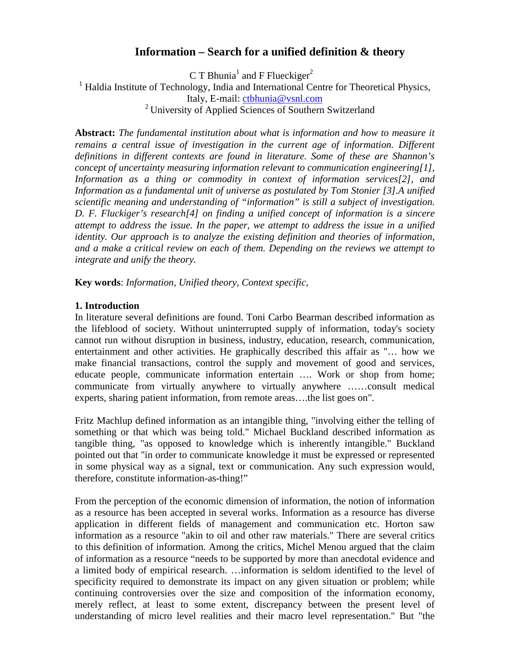# **Information – Search for a unified definition & theory**

C T Bhunia<sup>1</sup> and F Flueckiger<sup>2</sup> <sup>1</sup> Haldia Institute of Technology, India and International Centre for Theoretical Physics, Italy, E-mail: ctbhunia@vsnl.com <sup>2</sup> University of Applied Sciences of Southern Switzerland

**Abstract:** *The fundamental institution about what is information and how to measure it remains a central issue of investigation in the current age of information. Different definitions in different contexts are found in literature. Some of these are Shannon's concept of uncertainty measuring information relevant to communication engineering[1], Information as a thing or commodity in context of information services[2], and Information as a fundamental unit of universe as postulated by Tom Stonier [3].A unified scientific meaning and understanding of "information" is still a subject of investigation. D. F. Fluckiger's research[4] on finding a unified concept of information is a sincere attempt to address the issue. In the paper, we attempt to address the issue in a unified identity. Our approach is to analyze the existing definition and theories of information, and a make a critical review on each of them. Depending on the reviews we attempt to integrate and unify the theory.* 

**Key words**: *Information, Unified theory, Context specific,* 

### **1. Introduction**

In literature several definitions are found. Toni Carbo Bearman described information as the lifeblood of society. Without uninterrupted supply of information, today's society cannot run without disruption in business, industry, education, research, communication, entertainment and other activities. He graphically described this affair as "… how we make financial transactions, control the supply and movement of good and services, educate people, communicate information entertain …. Work or shop from home; communicate from virtually anywhere to virtually anywhere ……consult medical experts, sharing patient information, from remote areas….the list goes on".

Fritz Machlup defined information as an intangible thing, "involving either the telling of something or that which was being told." Michael Buckland described information as tangible thing, "as opposed to knowledge which is inherently intangible." Buckland pointed out that "in order to communicate knowledge it must be expressed or represented in some physical way as a signal, text or communication. Any such expression would, therefore, constitute information-as-thing!"

From the perception of the economic dimension of information, the notion of information as a resource has been accepted in several works. Information as a resource has diverse application in different fields of management and communication etc. Horton saw information as a resource "akin to oil and other raw materials." There are several critics to this definition of information. Among the critics, Michel Menou argued that the claim of information as a resource "needs to be supported by more than anecdotal evidence and a limited body of empirical research. …information is seldom identified to the level of specificity required to demonstrate its impact on any given situation or problem; while continuing controversies over the size and composition of the information economy, merely reflect, at least to some extent, discrepancy between the present level of understanding of micro level realities and their macro level representation." But "the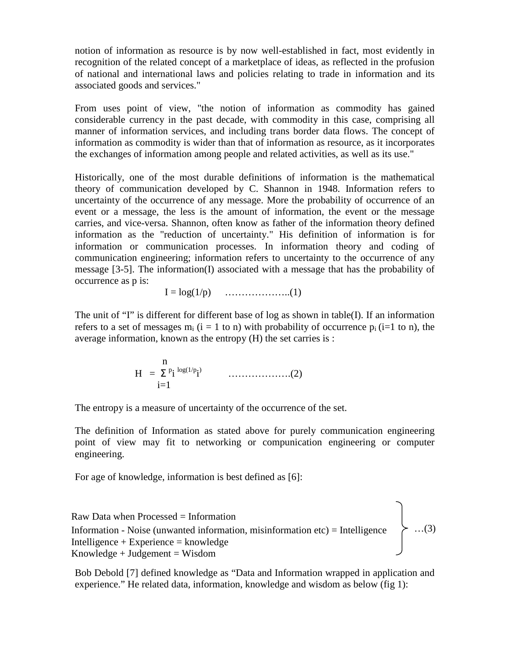notion of information as resource is by now well-established in fact, most evidently in recognition of the related concept of a marketplace of ideas, as reflected in the profusion of national and international laws and policies relating to trade in information and its associated goods and services."

From uses point of view, "the notion of information as commodity has gained considerable currency in the past decade, with commodity in this case, comprising all manner of information services, and including trans border data flows. The concept of information as commodity is wider than that of information as resource, as it incorporates the exchanges of information among people and related activities, as well as its use."

Historically, one of the most durable definitions of information is the mathematical theory of communication developed by C. Shannon in 1948. Information refers to uncertainty of the occurrence of any message. More the probability of occurrence of an event or a message, the less is the amount of information, the event or the message carries, and vice-versa. Shannon, often know as father of the information theory defined information as the "reduction of uncertainty." His definition of information is for information or communication processes. In information theory and coding of communication engineering; information refers to uncertainty to the occurrence of any message [3-5]. The information(I) associated with a message that has the probability of occurrence as p is:

 $I = log(1/p)$  …………………...(1)

The unit of "I" is different for different base of log as shown in table(I). If an information refers to a set of messages  $m_i$  ( $i = 1$  to n) with probability of occurrence  $p_i$  ( $i=1$  to n), the average information, known as the entropy (H) the set carries is :

$$
H = \sum_{i=1}^{n} \sum_{j=1}^{p} \sum_{j=1}^{p} P_{ij}^{(1/p_{i})}
$$

The entropy is a measure of uncertainty of the occurrence of the set.

The definition of Information as stated above for purely communication engineering point of view may fit to networking or compunication engineering or computer engineering.

For age of knowledge, information is best defined as [6]:

…(3) Raw Data when Processed = Information Information - Noise (unwanted information, misinformation etc) = Intelligence Intelligence + Experience =  $k$ nowledge  $Knowledge + Judgement = Wisdom$ 

Bob Debold [7] defined knowledge as "Data and Information wrapped in application and experience." He related data, information, knowledge and wisdom as below (fig 1):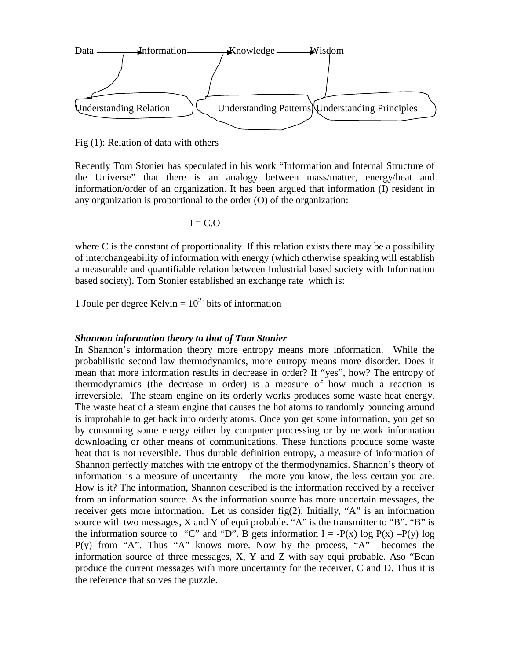

Fig (1): Relation of data with others

Recently Tom Stonier has speculated in his work "Information and Internal Structure of the Universe" that there is an analogy between mass/matter, energy/heat and information/order of an organization. It has been argued that information (I) resident in any organization is proportional to the order (O) of the organization:

$$
I = C.O
$$

where C is the constant of proportionality. If this relation exists there may be a possibility of interchangeability of information with energy (which otherwise speaking will establish a measurable and quantifiable relation between Industrial based society with Information based society). Tom Stonier established an exchange rate which is:

1 Joule per degree Kelvin  $= 10^{23}$  bits of information

#### *Shannon information theory to that of Tom Stonier*

In Shannon's information theory more entropy means more information. While the probabilistic second law thermodynamics, more entropy means more disorder. Does it mean that more information results in decrease in order? If "yes", how? The entropy of thermodynamics (the decrease in order) is a measure of how much a reaction is irreversible. The steam engine on its orderly works produces some waste heat energy. The waste heat of a steam engine that causes the hot atoms to randomly bouncing around is improbable to get back into orderly atoms. Once you get some information, you get so by consuming some energy either by computer processing or by network information downloading or other means of communications. These functions produce some waste heat that is not reversible. Thus durable definition entropy, a measure of information of Shannon perfectly matches with the entropy of the thermodynamics. Shannon's theory of information is a measure of uncertainty – the more you know, the less certain you are. How is it? The information, Shannon described is the information received by a receiver from an information source. As the information source has more uncertain messages, the receiver gets more information. Let us consider fig(2). Initially, "A" is an information source with two messages, X and Y of equi probable. "A" is the transmitter to "B". "B" is the information source to "C" and "D". B gets information  $I = -P(x) \log P(x) - P(y) \log P(x)$  $P(y)$  from "A". Thus "A" knows more. Now by the process, "A" becomes the information source of three messages, X, Y and Z with say equi probable. Aso "Bcan produce the current messages with more uncertainty for the receiver, C and D. Thus it is the reference that solves the puzzle.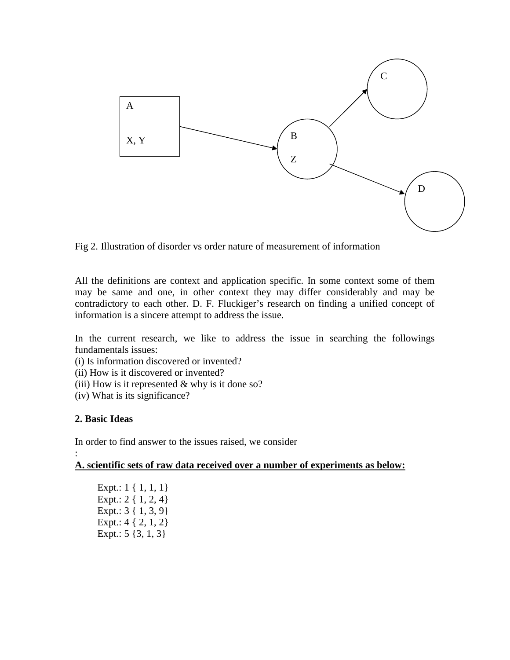

Fig 2. Illustration of disorder vs order nature of measurement of information

All the definitions are context and application specific. In some context some of them may be same and one, in other context they may differ considerably and may be contradictory to each other. D. F. Fluckiger's research on finding a unified concept of information is a sincere attempt to address the issue.

In the current research, we like to address the issue in searching the followings fundamentals issues:

- (i) Is information discovered or invented?
- (ii) How is it discovered or invented?
- (iii) How is it represented  $&$  why is it done so?
- (iv) What is its significance?

#### **2. Basic Ideas**

In order to find answer to the issues raised, we consider :

**A. scientific sets of raw data received over a number of experiments as below:**

Expt.: 1 { 1, 1, 1} Expt.: 2 { 1, 2, 4} Expt.: 3 { 1, 3, 9} Expt.: 4 { 2, 1, 2} Expt.:  $5 \{3, 1, 3\}$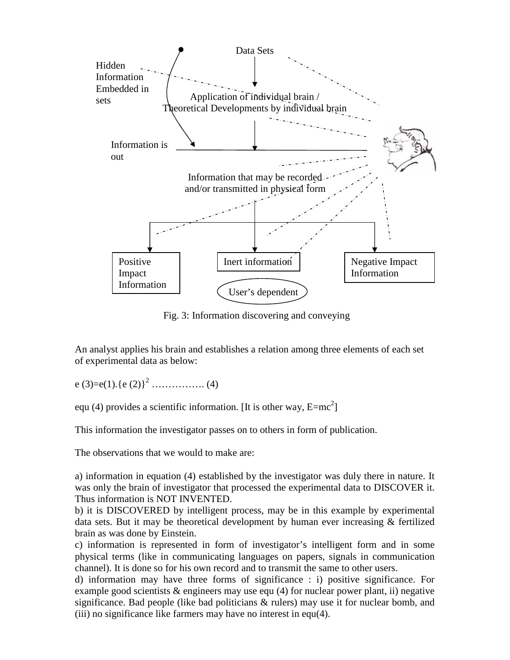

Fig. 3: Information discovering and conveying

An analyst applies his brain and establishes a relation among three elements of each set of experimental data as below:

e (3)=e(1).{e (2)}<sup>2</sup> ……………. (4)

equ (4) provides a scientific information. [It is other way,  $E=mc^2$ ]

This information the investigator passes on to others in form of publication.

The observations that we would to make are:

a) information in equation (4) established by the investigator was duly there in nature. It was only the brain of investigator that processed the experimental data to DISCOVER it. Thus information is NOT INVENTED.

b) it is DISCOVERED by intelligent process, may be in this example by experimental data sets. But it may be theoretical development by human ever increasing & fertilized brain as was done by Einstein.

c) information is represented in form of investigator's intelligent form and in some physical terms (like in communicating languages on papers, signals in communication channel). It is done so for his own record and to transmit the same to other users.

d) information may have three forms of significance : i) positive significance. For example good scientists & engineers may use equ (4) for nuclear power plant, ii) negative significance. Bad people (like bad politicians & rulers) may use it for nuclear bomb, and (iii) no significance like farmers may have no interest in equ(4).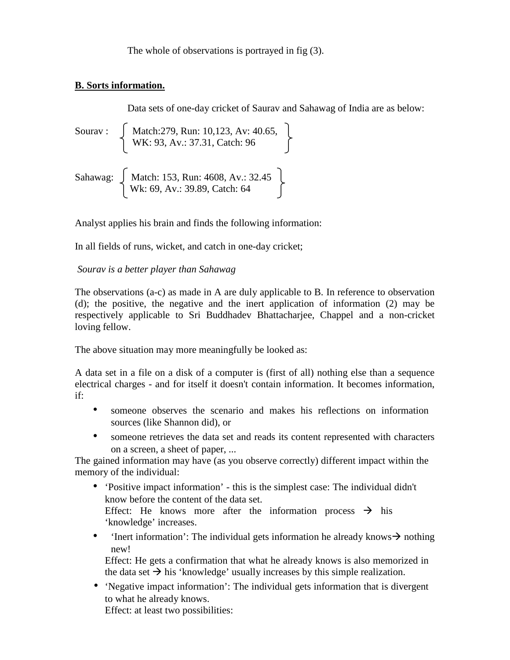The whole of observations is portrayed in fig (3).

### **B. Sorts information.**

Data sets of one-day cricket of Saurav and Sahawag of India are as below:

Sourav : Match:279, Run: 10,123, Av: 40.65, WK: 93, Av.: 37.31, Catch: 96 Sahawag: Match: 153, Run: 4608, Av.: 32.45 Wk: 69, Av.: 39.89, Catch: 64

Analyst applies his brain and finds the following information:

In all fields of runs, wicket, and catch in one-day cricket;

# *Sourav is a better player than Sahawag*

The observations (a-c) as made in A are duly applicable to B. In reference to observation (d); the positive, the negative and the inert application of information (2) may be respectively applicable to Sri Buddhadev Bhattacharjee, Chappel and a non-cricket loving fellow.

The above situation may more meaningfully be looked as:

A data set in a file on a disk of a computer is (first of all) nothing else than a sequence electrical charges - and for itself it doesn't contain information. It becomes information, if:

- someone observes the scenario and makes his reflections on information sources (like Shannon did), or
- someone retrieves the data set and reads its content represented with characters on a screen, a sheet of paper, ...

The gained information may have (as you observe correctly) different impact within the memory of the individual:

• 'Positive impact information' - this is the simplest case: The individual didn't know before the content of the data set.

Effect: He knows more after the information process  $\rightarrow$  his 'knowledge' increases.

• 'Inert information': The individual gets information he already knows  $\rightarrow$  nothing new!

Effect: He gets a confirmation that what he already knows is also memorized in the data set  $\rightarrow$  his 'knowledge' usually increases by this simple realization.

• 'Negative impact information': The individual gets information that is divergent to what he already knows.

Effect: at least two possibilities: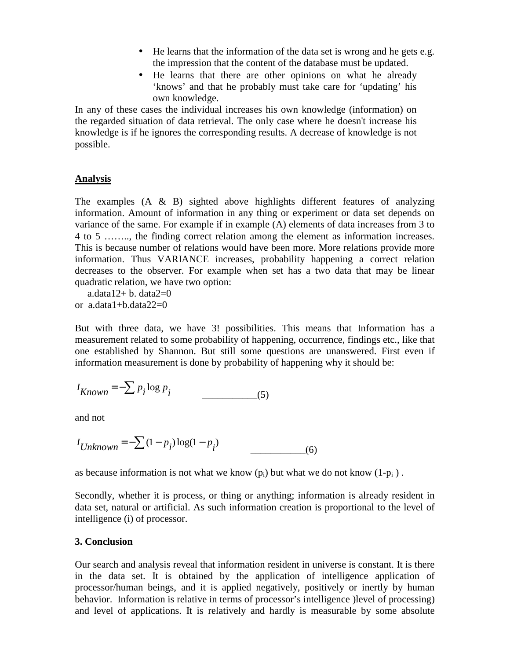- He learns that the information of the data set is wrong and he gets e.g. the impression that the content of the database must be updated.
- He learns that there are other opinions on what he already 'knows' and that he probably must take care for 'updating' his own knowledge.

In any of these cases the individual increases his own knowledge (information) on the regarded situation of data retrieval. The only case where he doesn't increase his knowledge is if he ignores the corresponding results. A decrease of knowledge is not possible.

### **Analysis**

The examples  $(A \& B)$  sighted above highlights different features of analyzing information. Amount of information in any thing or experiment or data set depends on variance of the same. For example if in example (A) elements of data increases from 3 to 4 to 5 …….., the finding correct relation among the element as information increases. This is because number of relations would have been more. More relations provide more information. Thus VARIANCE increases, probability happening a correct relation decreases to the observer. For example when set has a two data that may be linear quadratic relation, we have two option:

a.data $12+ b$ . data $2=0$ or  $a.data1+b.data22=0$ 

But with three data, we have 3! possibilities. This means that Information has a measurement related to some probability of happening, occurrence, findings etc., like that one established by Shannon. But still some questions are unanswered. First even if information measurement is done by probability of happening why it should be:

$$
I_{Known} = -\sum p_i \log p_i \tag{5}
$$

and not

$$
I_{Unknown} = -\sum (1 - p_i) \log(1 - p_i)
$$
\n(6)

as because information is not what we know  $(p_i)$  but what we do not know  $(1-p_i)$ .

Secondly, whether it is process, or thing or anything; information is already resident in data set, natural or artificial. As such information creation is proportional to the level of intelligence (i) of processor.

#### **3. Conclusion**

Our search and analysis reveal that information resident in universe is constant. It is there in the data set. It is obtained by the application of intelligence application of processor/human beings, and it is applied negatively, positively or inertly by human behavior. Information is relative in terms of processor's intelligence )level of processing) and level of applications. It is relatively and hardly is measurable by some absolute